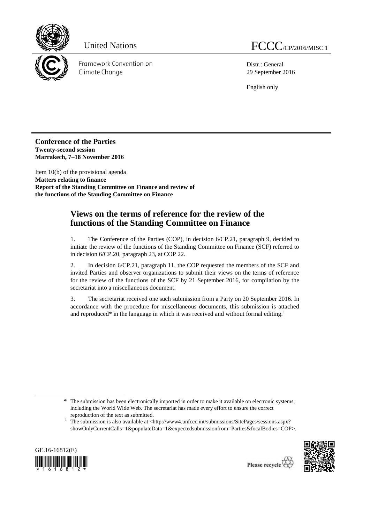

Framework Convention on Climate Change

Distr.: General 29 September 2016

English only

**Conference of the Parties Twenty-second session Marrakech, 7–18 November 2016**

Item 10(b) of the provisional agenda **Matters relating to finance Report of the Standing Committee on Finance and review of the functions of the Standing Committee on Finance**

## **Views on the terms of reference for the review of the functions of the Standing Committee on Finance**

1. The Conference of the Parties (COP), in decision 6/CP.21, paragraph 9, decided to initiate the review of the functions of the Standing Committee on Finance (SCF) referred to in decision 6/CP.20, paragraph 23, at COP 22.

2. In decision 6/CP.21, paragraph 11, the COP requested the members of the SCF and invited Parties and observer organizations to submit their views on the terms of reference for the review of the functions of the SCF by 21 September 2016, for compilation by the secretariat into a miscellaneous document.

3. The secretariat received one such submission from a Party on 20 September 2016. In accordance with the procedure for miscellaneous documents, this submission is attached and reproduced\* in the language in which it was received and without formal editing.<sup>1</sup>

<sup>&</sup>lt;sup>1</sup> The submission is also available at <http://www4.unfccc.int/submissions/SitePages/sessions.aspx? showOnlyCurrentCalls=1&populateData=1&expectedsubmissionfrom=Parties&focalBodies=COP>.



-



<sup>\*</sup> The submission has been electronically imported in order to make it available on electronic systems, including the World Wide Web. The secretariat has made every effort to ensure the correct reproduction of the text as submitted.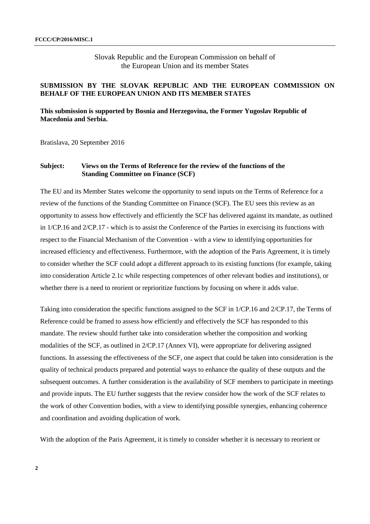Slovak Republic and the European Commission on behalf of the European Union and its member States

## **SUBMISSION BY THE SLOVAK REPUBLIC AND THE EUROPEAN COMMISSION ON BEHALF OF THE EUROPEAN UNION AND ITS MEMBER STATES**

## **This submission is supported by Bosnia and Herzegovina, the Former Yugoslav Republic of Macedonia and Serbia.**

Bratislava, 20 September 2016

## **Subject: Views on the Terms of Reference for the review of the functions of the Standing Committee on Finance (SCF)**

The EU and its Member States welcome the opportunity to send inputs on the Terms of Reference for a review of the functions of the Standing Committee on Finance (SCF). The EU sees this review as an opportunity to assess how effectively and efficiently the SCF has delivered against its mandate, as outlined in 1/CP.16 and 2/CP.17 - which is to assist the Conference of the Parties in exercising its functions with respect to the Financial Mechanism of the Convention - with a view to identifying opportunities for increased efficiency and effectiveness. Furthermore, with the adoption of the Paris Agreement, it is timely to consider whether the SCF could adopt a different approach to its existing functions (for example, taking into consideration Article 2.1c while respecting competences of other relevant bodies and institutions), or whether there is a need to reorient or reprioritize functions by focusing on where it adds value.

Taking into consideration the specific functions assigned to the SCF in 1/CP.16 and 2/CP.17, the Terms of Reference could be framed to assess how efficiently and effectively the SCF has responded to this mandate. The review should further take into consideration whether the composition and working modalities of the SCF, as outlined in 2/CP.17 (Annex VI), were appropriate for delivering assigned functions. In assessing the effectiveness of the SCF, one aspect that could be taken into consideration is the quality of technical products prepared and potential ways to enhance the quality of these outputs and the subsequent outcomes. A further consideration is the availability of SCF members to participate in meetings and provide inputs. The EU further suggests that the review consider how the work of the SCF relates to the work of other Convention bodies, with a view to identifying possible synergies, enhancing coherence and coordination and avoiding duplication of work.

With the adoption of the Paris Agreement, it is timely to consider whether it is necessary to reorient or